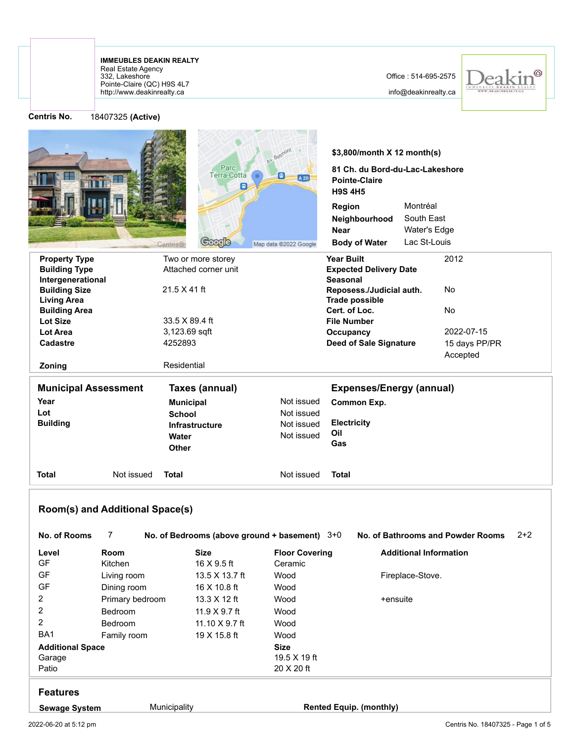## http://www.deakinrealty.ca Pointe-Claire (QC) H9S 4L7 332, Lakeshore Real Estate Agency **IMMEUBLES DEAKIN REALTY**

## Office : 514-695-2575

info@deakinrealty.ca



**Centris No.** 

| 18407325 (Active) |  |
|-------------------|--|
|-------------------|--|

|                                            |                                      |                                                 | AY. Beimont           | \$3,800/month X 12 month(s)                                               |                                            |
|--------------------------------------------|--------------------------------------|-------------------------------------------------|-----------------------|---------------------------------------------------------------------------|--------------------------------------------|
|                                            |                                      | Parc<br>Terra-Cotta<br>圓                        | 圓<br>A 20             | 81 Ch. du Bord-du-Lac-Lakeshore<br><b>Pointe-Claire</b><br><b>H9S 4H5</b> |                                            |
|                                            |                                      |                                                 |                       | Region                                                                    | Montréal                                   |
|                                            |                                      |                                                 |                       | Neighbourhood                                                             | South East                                 |
|                                            |                                      |                                                 |                       | <b>Near</b>                                                               | Water's Edge                               |
|                                            |                                      | <b>Coogle</b><br>Cantris®                       | Map data @2022 Google | <b>Body of Water</b>                                                      | Lac St-Louis                               |
| <b>Property Type</b>                       |                                      | Two or more storey                              |                       | <b>Year Built</b>                                                         | 2012                                       |
| <b>Building Type</b>                       |                                      | Attached corner unit                            |                       | <b>Expected Delivery Date</b>                                             |                                            |
| Intergenerational                          |                                      |                                                 |                       | <b>Seasonal</b>                                                           |                                            |
| <b>Building Size</b><br><b>Living Area</b> |                                      | $21.5 \times 41$ ft                             |                       | Reposess./Judicial auth.<br><b>Trade possible</b>                         | No                                         |
| <b>Building Area</b>                       |                                      |                                                 |                       | Cert. of Loc.                                                             | No                                         |
| <b>Lot Size</b>                            |                                      | 33.5 X 89.4 ft                                  |                       | <b>File Number</b>                                                        |                                            |
| Lot Area                                   |                                      | 3,123.69 sqft                                   |                       | Occupancy                                                                 | 2022-07-15                                 |
| Cadastre                                   |                                      | 4252893                                         |                       | <b>Deed of Sale Signature</b>                                             | 15 days PP/PR                              |
|                                            |                                      |                                                 |                       |                                                                           | Accepted                                   |
| Zoning                                     |                                      | Residential                                     |                       |                                                                           |                                            |
| <b>Municipal Assessment</b>                |                                      | <b>Taxes (annual)</b>                           |                       | <b>Expenses/Energy (annual)</b>                                           |                                            |
| Year                                       |                                      | <b>Municipal</b>                                | Not issued            | <b>Common Exp.</b>                                                        |                                            |
| Lot                                        |                                      | <b>School</b>                                   | Not issued            |                                                                           |                                            |
| <b>Building</b>                            |                                      | <b>Infrastructure</b>                           | Not issued            | <b>Electricity</b>                                                        |                                            |
|                                            |                                      | Water<br><b>Other</b>                           | Not issued            | Oil<br>Gas                                                                |                                            |
| Total                                      | Not issued                           | <b>Total</b>                                    | Not issued            | <b>Total</b>                                                              |                                            |
| No. of Rooms                               | Room(s) and Additional Space(s)<br>7 | No. of Bedrooms (above ground + basement) $3+0$ |                       |                                                                           | $2+2$<br>No. of Bathrooms and Powder Rooms |
| Level                                      | Room                                 | Size                                            | <b>Floor Covering</b> |                                                                           | <b>Additional Information</b>              |
| GF                                         | Kitchen                              | 16 X 9.5 ft                                     | Ceramic               |                                                                           |                                            |
| GF                                         | Living room                          | 13.5 X 13.7 ft                                  | Wood                  |                                                                           | Fireplace-Stove.                           |
| GF                                         | Dining room                          | 16 X 10.8 ft                                    | Wood                  |                                                                           |                                            |
| $\overline{c}$                             | Primary bedroom                      | 13.3 X 12 ft                                    | Wood                  | +ensuite                                                                  |                                            |
| $\overline{c}$                             | Bedroom                              | 11.9 X 9.7 ft                                   | Wood                  |                                                                           |                                            |
| $\overline{c}$                             | Bedroom                              | 11.10 X 9.7 ft                                  | Wood                  |                                                                           |                                            |
| BA1                                        | Family room                          | 19 X 15.8 ft                                    | Wood                  |                                                                           |                                            |
| <b>Additional Space</b>                    |                                      |                                                 | <b>Size</b>           |                                                                           |                                            |
| Garage                                     |                                      |                                                 | 19.5 X 19 ft          |                                                                           |                                            |
| Patio                                      |                                      |                                                 | 20 X 20 ft            |                                                                           |                                            |
| <b>Features</b>                            |                                      |                                                 |                       |                                                                           |                                            |
| <b>Sewage System</b>                       |                                      | Municipality                                    |                       | <b>Rented Equip. (monthly)</b>                                            |                                            |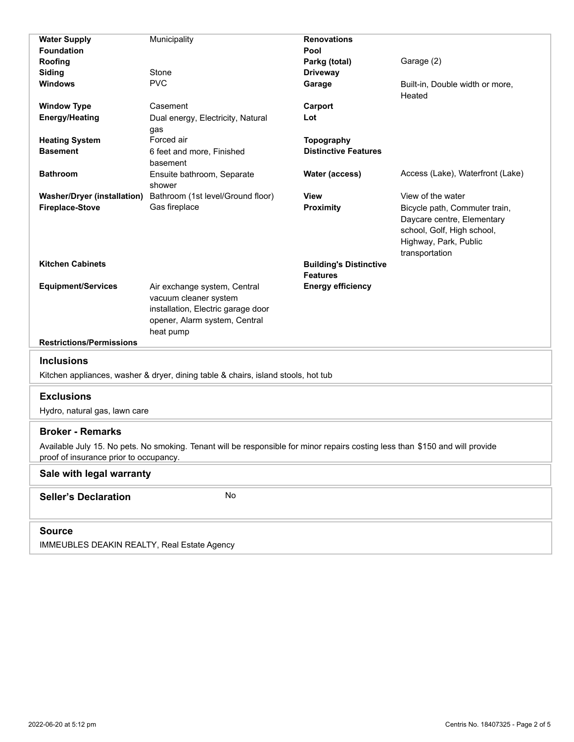| <b>Water Supply</b>                                                                                                                                                                                | Municipality                                                                                                                              | <b>Renovations</b>            |                                                                                                                                      |  |  |  |  |
|----------------------------------------------------------------------------------------------------------------------------------------------------------------------------------------------------|-------------------------------------------------------------------------------------------------------------------------------------------|-------------------------------|--------------------------------------------------------------------------------------------------------------------------------------|--|--|--|--|
| <b>Foundation</b>                                                                                                                                                                                  |                                                                                                                                           | Pool                          |                                                                                                                                      |  |  |  |  |
| Roofing                                                                                                                                                                                            |                                                                                                                                           | Parkg (total)                 | Garage (2)                                                                                                                           |  |  |  |  |
| Siding                                                                                                                                                                                             | Stone                                                                                                                                     | <b>Driveway</b>               |                                                                                                                                      |  |  |  |  |
| <b>Windows</b>                                                                                                                                                                                     | <b>PVC</b>                                                                                                                                | Garage                        | Built-in, Double width or more,<br>Heated                                                                                            |  |  |  |  |
| <b>Window Type</b>                                                                                                                                                                                 | Casement                                                                                                                                  | Carport                       |                                                                                                                                      |  |  |  |  |
| <b>Energy/Heating</b>                                                                                                                                                                              | Dual energy, Electricity, Natural                                                                                                         | Lot                           |                                                                                                                                      |  |  |  |  |
|                                                                                                                                                                                                    | gas                                                                                                                                       |                               |                                                                                                                                      |  |  |  |  |
| <b>Heating System</b>                                                                                                                                                                              | Forced air                                                                                                                                | <b>Topography</b>             |                                                                                                                                      |  |  |  |  |
| <b>Basement</b>                                                                                                                                                                                    | 6 feet and more, Finished                                                                                                                 | <b>Distinctive Features</b>   |                                                                                                                                      |  |  |  |  |
|                                                                                                                                                                                                    | basement                                                                                                                                  |                               |                                                                                                                                      |  |  |  |  |
| <b>Bathroom</b>                                                                                                                                                                                    | Ensuite bathroom, Separate<br>shower                                                                                                      | Water (access)                | Access (Lake), Waterfront (Lake)                                                                                                     |  |  |  |  |
| <b>Washer/Dryer (installation)</b>                                                                                                                                                                 | Bathroom (1st level/Ground floor)                                                                                                         | View                          | View of the water                                                                                                                    |  |  |  |  |
| <b>Fireplace-Stove</b>                                                                                                                                                                             | Gas fireplace                                                                                                                             | <b>Proximity</b>              | Bicycle path, Commuter train,<br>Daycare centre, Elementary<br>school, Golf, High school,<br>Highway, Park, Public<br>transportation |  |  |  |  |
| <b>Kitchen Cabinets</b>                                                                                                                                                                            |                                                                                                                                           | <b>Building's Distinctive</b> |                                                                                                                                      |  |  |  |  |
|                                                                                                                                                                                                    |                                                                                                                                           | <b>Features</b>               |                                                                                                                                      |  |  |  |  |
| <b>Equipment/Services</b><br><b>Restrictions/Permissions</b>                                                                                                                                       | Air exchange system, Central<br>vacuum cleaner system<br>installation, Electric garage door<br>opener, Alarm system, Central<br>heat pump | <b>Energy efficiency</b>      |                                                                                                                                      |  |  |  |  |
|                                                                                                                                                                                                    |                                                                                                                                           |                               |                                                                                                                                      |  |  |  |  |
| <b>Inclusions</b>                                                                                                                                                                                  |                                                                                                                                           |                               |                                                                                                                                      |  |  |  |  |
|                                                                                                                                                                                                    | Kitchen appliances, washer & dryer, dining table & chairs, island stools, hot tub                                                         |                               |                                                                                                                                      |  |  |  |  |
| <b>Exclusions</b>                                                                                                                                                                                  |                                                                                                                                           |                               |                                                                                                                                      |  |  |  |  |
| Hydro, natural gas, lawn care                                                                                                                                                                      |                                                                                                                                           |                               |                                                                                                                                      |  |  |  |  |
| <b>Broker - Remarks</b><br>Available July 15. No pets. No smoking. Tenant will be responsible for minor repairs costing less than \$150 and will provide<br>proof of insurance prior to occupancy. |                                                                                                                                           |                               |                                                                                                                                      |  |  |  |  |
| Sale with legal warranty                                                                                                                                                                           |                                                                                                                                           |                               |                                                                                                                                      |  |  |  |  |
| No<br><b>Seller's Declaration</b>                                                                                                                                                                  |                                                                                                                                           |                               |                                                                                                                                      |  |  |  |  |
| <b>Source</b>                                                                                                                                                                                      |                                                                                                                                           |                               |                                                                                                                                      |  |  |  |  |
| IMMEUBLES DEAKIN REALTY, Real Estate Agency                                                                                                                                                        |                                                                                                                                           |                               |                                                                                                                                      |  |  |  |  |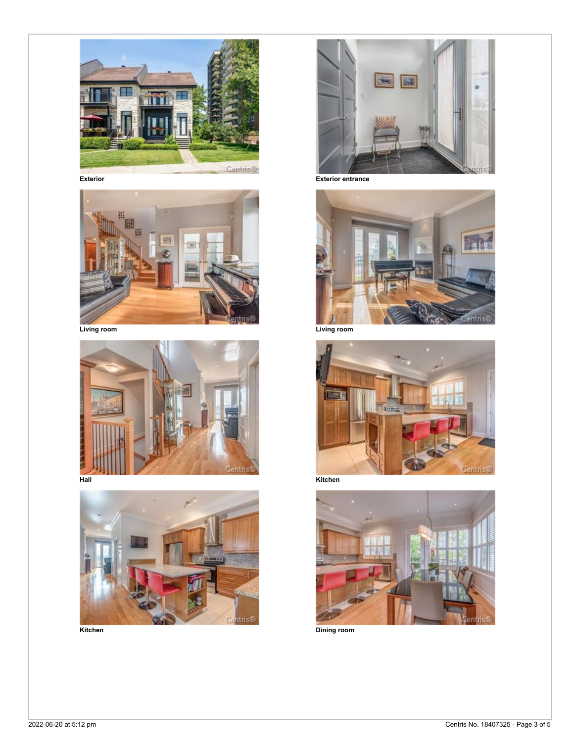









**Exterior Exterior entrance**





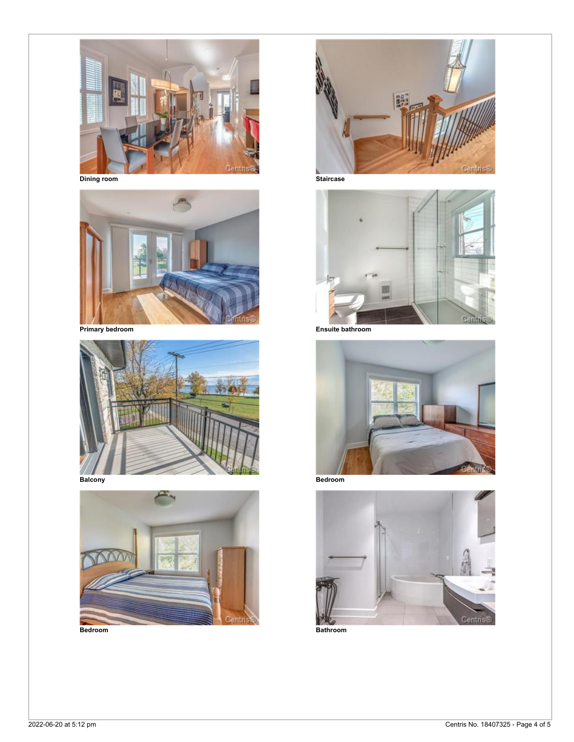

**Dining room Staircase**